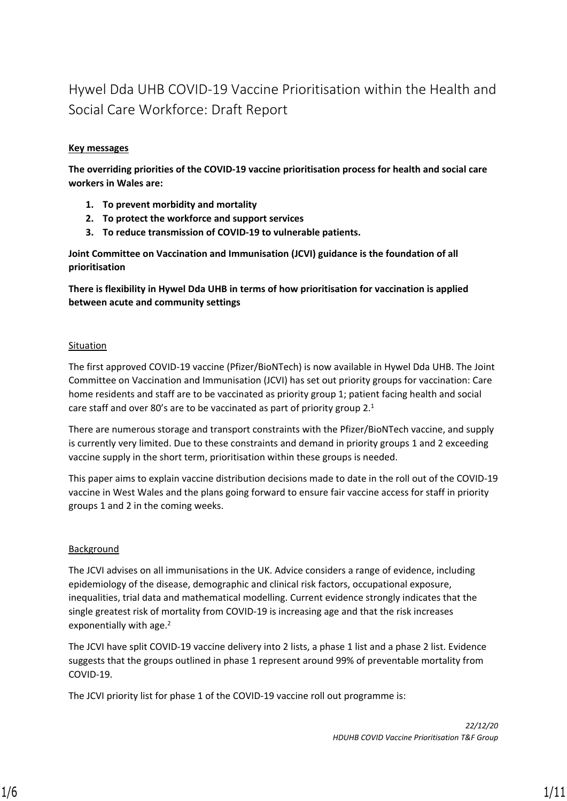### Hywel Dda UHB COVID-19 Vaccine Prioritisation within the Health and Social Care Workforce: Draft Report

#### **Key messages**

**The overriding priorities of the COVID-19 vaccine prioritisation process for health and social care workers in Wales are:**

- **1. To prevent morbidity and mortality**
- **2. To protect the workforce and support services**
- **3. To reduce transmission of COVID-19 to vulnerable patients.**

**Joint Committee on Vaccination and Immunisation (JCVI) guidance is the foundation of all prioritisation**

**There is flexibility in Hywel Dda UHB in terms of how prioritisation for vaccination is applied between acute and community settings**

#### Situation

The first approved COVID-19 vaccine (Pfizer/BioNTech) is now available in Hywel Dda UHB. The Joint Committee on Vaccination and Immunisation (JCVI) has set out priority groups for vaccination: Care home residents and staff are to be vaccinated as priority group 1; patient facing health and social care staff and over 80's are to be vaccinated as part of priority group 2.<sup>1</sup>

There are numerous storage and transport constraints with the Pfizer/BioNTech vaccine, and supply is currently very limited. Due to these constraints and demand in priority groups 1 and 2 exceeding vaccine supply in the short term, prioritisation within these groups is needed.

This paper aims to explain vaccine distribution decisions made to date in the roll out of the COVID-19 vaccine in West Wales and the plans going forward to ensure fair vaccine access for staff in priority groups 1 and 2 in the coming weeks.

#### Background

The JCVI advises on all immunisations in the UK. Advice considers a range of evidence, including epidemiology of the disease, demographic and clinical risk factors, occupational exposure, inequalities, trial data and mathematical modelling. Current evidence strongly indicates that the single greatest risk of mortality from COVID-19 is increasing age and that the risk increases exponentially with age.<sup>2</sup>

The JCVI have split COVID-19 vaccine delivery into 2 lists, a phase 1 list and a phase 2 list. Evidence suggests that the groups outlined in phase 1 represent around 99% of preventable mortality from COVID-19.

The JCVI priority list for phase 1 of the COVID-19 vaccine roll out programme is: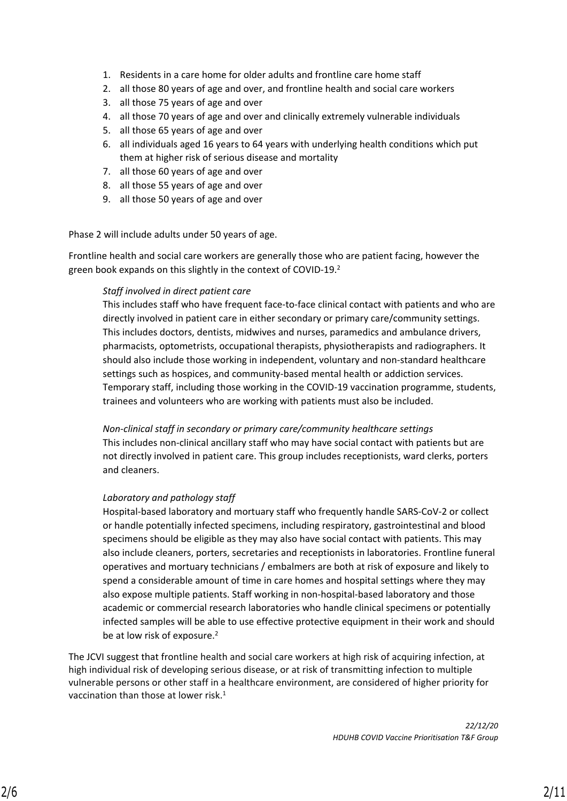- 1. Residents in a care home for older adults and frontline care home staff
- 2. all those 80 years of age and over, and frontline health and social care workers
- 3. all those 75 years of age and over
- 4. all those 70 years of age and over and clinically extremely vulnerable individuals
- 5. all those 65 years of age and over
- 6. all individuals aged 16 years to 64 years with underlying health conditions which put them at higher risk of serious disease and mortality
- 7. all those 60 years of age and over
- 8. all those 55 years of age and over
- 9. all those 50 years of age and over

Phase 2 will include adults under 50 years of age.

Frontline health and social care workers are generally those who are patient facing, however the green book expands on this slightly in the context of COVID-19.<sup>2</sup>

#### *Staff involved in direct patient care*

This includes staff who have frequent face-to-face clinical contact with patients and who are directly involved in patient care in either secondary or primary care/community settings. This includes doctors, dentists, midwives and nurses, paramedics and ambulance drivers, pharmacists, optometrists, occupational therapists, physiotherapists and radiographers. It should also include those working in independent, voluntary and non-standard healthcare settings such as hospices, and community-based mental health or addiction services. Temporary staff, including those working in the COVID-19 vaccination programme, students, trainees and volunteers who are working with patients must also be included.

*Non-clinical staff in secondary or primary care/community healthcare settings* This includes non-clinical ancillary staff who may have social contact with patients but are not directly involved in patient care. This group includes receptionists, ward clerks, porters and cleaners.

#### *Laboratory and pathology staff*

Hospital-based laboratory and mortuary staff who frequently handle SARS-CoV-2 or collect or handle potentially infected specimens, including respiratory, gastrointestinal and blood specimens should be eligible as they may also have social contact with patients. This may also include cleaners, porters, secretaries and receptionists in laboratories. Frontline funeral operatives and mortuary technicians / embalmers are both at risk of exposure and likely to spend a considerable amount of time in care homes and hospital settings where they may also expose multiple patients. Staff working in non-hospital-based laboratory and those academic or commercial research laboratories who handle clinical specimens or potentially infected samples will be able to use effective protective equipment in their work and should be at low risk of exposure.<sup>2</sup>

The JCVI suggest that frontline health and social care workers at high risk of acquiring infection, at high individual risk of developing serious disease, or at risk of transmitting infection to multiple vulnerable persons or other staff in a healthcare environment, are considered of higher priority for vaccination than those at lower risk.<sup>1</sup>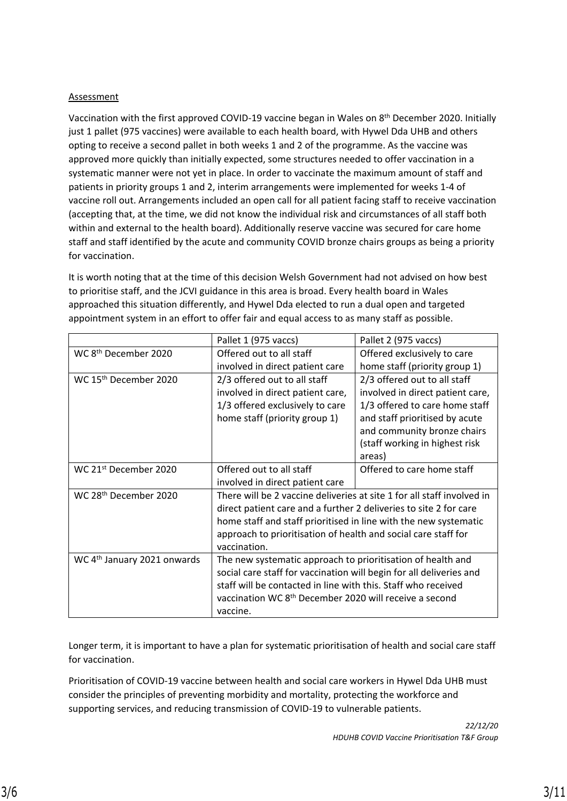#### **Assessment**

Vaccination with the first approved COVID-19 vaccine began in Wales on 8<sup>th</sup> December 2020. Initially just 1 pallet (975 vaccines) were available to each health board, with Hywel Dda UHB and others opting to receive a second pallet in both weeks 1 and 2 of the programme. As the vaccine was approved more quickly than initially expected, some structures needed to offer vaccination in a systematic manner were not yet in place. In order to vaccinate the maximum amount of staff and patients in priority groups 1 and 2, interim arrangements were implemented for weeks 1-4 of vaccine roll out. Arrangements included an open call for all patient facing staff to receive vaccination (accepting that, at the time, we did not know the individual risk and circumstances of all staff both within and external to the health board). Additionally reserve vaccine was secured for care home staff and staff identified by the acute and community COVID bronze chairs groups as being a priority for vaccination.

It is worth noting that at the time of this decision Welsh Government had not advised on how best to prioritise staff, and the JCVI guidance in this area is broad. Every health board in Wales approached this situation differently, and Hywel Dda elected to run a dual open and targeted appointment system in an effort to offer fair and equal access to as many staff as possible.

|                                         | Pallet 1 (975 vaccs)                                                                                                                                                                                                                                                                              | Pallet 2 (975 vaccs)                                                                                                                                                                                            |
|-----------------------------------------|---------------------------------------------------------------------------------------------------------------------------------------------------------------------------------------------------------------------------------------------------------------------------------------------------|-----------------------------------------------------------------------------------------------------------------------------------------------------------------------------------------------------------------|
| WC 8 <sup>th</sup> December 2020        | Offered out to all staff<br>involved in direct patient care                                                                                                                                                                                                                                       | Offered exclusively to care<br>home staff (priority group 1)                                                                                                                                                    |
| WC 15 <sup>th</sup> December 2020       | 2/3 offered out to all staff<br>involved in direct patient care,<br>1/3 offered exclusively to care<br>home staff (priority group 1)                                                                                                                                                              | 2/3 offered out to all staff<br>involved in direct patient care,<br>1/3 offered to care home staff<br>and staff prioritised by acute<br>and community bronze chairs<br>(staff working in highest risk<br>areas) |
| WC 21 <sup>st</sup> December 2020       | Offered out to all staff<br>involved in direct patient care                                                                                                                                                                                                                                       | Offered to care home staff                                                                                                                                                                                      |
| WC 28 <sup>th</sup> December 2020       | There will be 2 vaccine deliveries at site 1 for all staff involved in<br>direct patient care and a further 2 deliveries to site 2 for care<br>home staff and staff prioritised in line with the new systematic<br>approach to prioritisation of health and social care staff for<br>vaccination. |                                                                                                                                                                                                                 |
| WC 4 <sup>th</sup> January 2021 onwards | The new systematic approach to prioritisation of health and<br>social care staff for vaccination will begin for all deliveries and<br>staff will be contacted in line with this. Staff who received<br>vaccination WC 8 <sup>th</sup> December 2020 will receive a second<br>vaccine.             |                                                                                                                                                                                                                 |

Longer term, it is important to have a plan for systematic prioritisation of health and social care staff for vaccination.

Prioritisation of COVID-19 vaccine between health and social care workers in Hywel Dda UHB must consider the principles of preventing morbidity and mortality, protecting the workforce and supporting services, and reducing transmission of COVID-19 to vulnerable patients.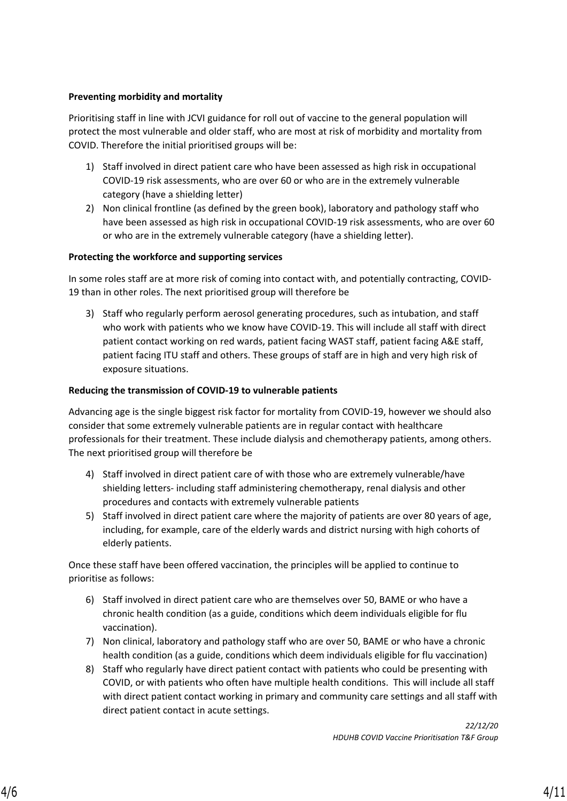#### **Preventing morbidity and mortality**

Prioritising staff in line with JCVI guidance for roll out of vaccine to the general population will protect the most vulnerable and older staff, who are most at risk of morbidity and mortality from COVID. Therefore the initial prioritised groups will be:

- 1) Staff involved in direct patient care who have been assessed as high risk in occupational COVID-19 risk assessments, who are over 60 or who are in the extremely vulnerable category (have a shielding letter)
- 2) Non clinical frontline (as defined by the green book), laboratory and pathology staff who have been assessed as high risk in occupational COVID-19 risk assessments, who are over 60 or who are in the extremely vulnerable category (have a shielding letter).

#### **Protecting the workforce and supporting services**

In some roles staff are at more risk of coming into contact with, and potentially contracting, COVID-19 than in other roles. The next prioritised group will therefore be

3) Staff who regularly perform aerosol generating procedures, such as intubation, and staff who work with patients who we know have COVID-19. This will include all staff with direct patient contact working on red wards, patient facing WAST staff, patient facing A&E staff, patient facing ITU staff and others. These groups of staff are in high and very high risk of exposure situations.

#### **Reducing the transmission of COVID-19 to vulnerable patients**

Advancing age is the single biggest risk factor for mortality from COVID-19, however we should also consider that some extremely vulnerable patients are in regular contact with healthcare professionals for their treatment. These include dialysis and chemotherapy patients, among others. The next prioritised group will therefore be

- 4) Staff involved in direct patient care of with those who are extremely vulnerable/have shielding letters- including staff administering chemotherapy, renal dialysis and other procedures and contacts with extremely vulnerable patients
- 5) Staff involved in direct patient care where the majority of patients are over 80 years of age, including, for example, care of the elderly wards and district nursing with high cohorts of elderly patients.

Once these staff have been offered vaccination, the principles will be applied to continue to prioritise as follows:

- 6) Staff involved in direct patient care who are themselves over 50, BAME or who have a chronic health condition (as a guide, conditions which deem individuals eligible for flu vaccination).
- 7) Non clinical, laboratory and pathology staff who are over 50, BAME or who have a chronic health condition (as a guide, conditions which deem individuals eligible for flu vaccination)
- 8) Staff who regularly have direct patient contact with patients who could be presenting with COVID, or with patients who often have multiple health conditions. This will include all staff with direct patient contact working in primary and community care settings and all staff with direct patient contact in acute settings.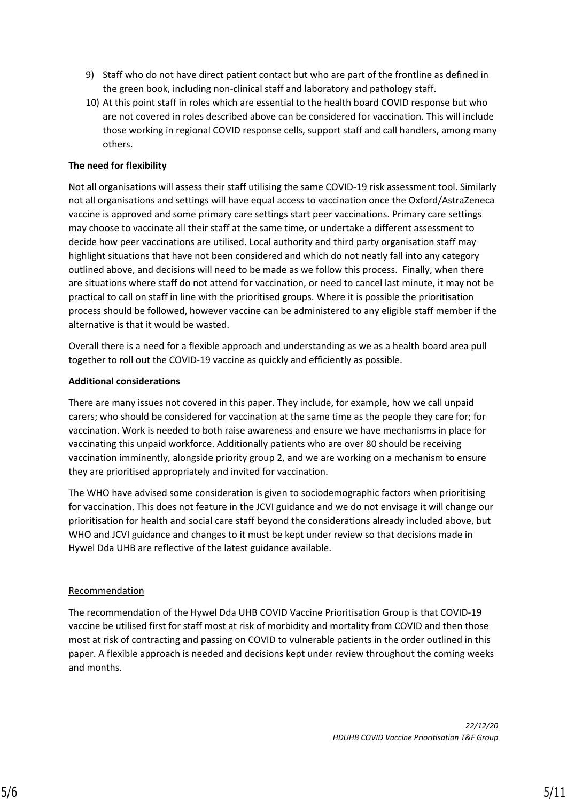- 9) Staff who do not have direct patient contact but who are part of the frontline as defined in the green book, including non-clinical staff and laboratory and pathology staff.
- 10) At this point staff in roles which are essential to the health board COVID response but who are not covered in roles described above can be considered for vaccination. This will include those working in regional COVID response cells, support staff and call handlers, among many others.

#### **The need for flexibility**

Not all organisations will assess their staff utilising the same COVID-19 risk assessment tool. Similarly not all organisations and settings will have equal access to vaccination once the Oxford/AstraZeneca vaccine is approved and some primary care settings start peer vaccinations. Primary care settings may choose to vaccinate all their staff at the same time, or undertake a different assessment to decide how peer vaccinations are utilised. Local authority and third party organisation staff may highlight situations that have not been considered and which do not neatly fall into any category outlined above, and decisions will need to be made as we follow this process. Finally, when there are situations where staff do not attend for vaccination, or need to cancel last minute, it may not be practical to call on staff in line with the prioritised groups. Where it is possible the prioritisation process should be followed, however vaccine can be administered to any eligible staff member if the alternative is that it would be wasted.

Overall there is a need for a flexible approach and understanding as we as a health board area pull together to roll out the COVID-19 vaccine as quickly and efficiently as possible.

#### **Additional considerations**

There are many issues not covered in this paper. They include, for example, how we call unpaid carers; who should be considered for vaccination at the same time as the people they care for; for vaccination. Work is needed to both raise awareness and ensure we have mechanisms in place for vaccinating this unpaid workforce. Additionally patients who are over 80 should be receiving vaccination imminently, alongside priority group 2, and we are working on a mechanism to ensure they are prioritised appropriately and invited for vaccination.

The WHO have advised some consideration is given to sociodemographic factors when prioritising for vaccination. This does not feature in the JCVI guidance and we do not envisage it will change our prioritisation for health and social care staff beyond the considerations already included above, but WHO and JCVI guidance and changes to it must be kept under review so that decisions made in Hywel Dda UHB are reflective of the latest guidance available.

#### Recommendation

The recommendation of the Hywel Dda UHB COVID Vaccine Prioritisation Group is that COVID-19 vaccine be utilised first for staff most at risk of morbidity and mortality from COVID and then those most at risk of contracting and passing on COVID to vulnerable patients in the order outlined in this paper. A flexible approach is needed and decisions kept under review throughout the coming weeks and months.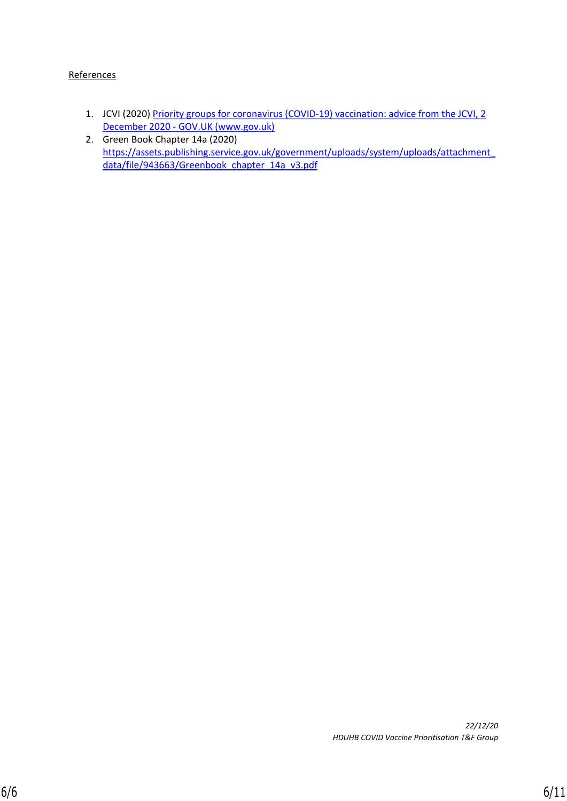#### **References**

- 1. JCVI (2020) Priority groups for coronavirus (COVID-19) vaccination: advice from the JCVI, 2 [December 2020 - GOV.UK \(www.gov.uk\)](https://www.gov.uk/government/publications/priority-groups-for-coronavirus-covid-19-vaccination-advice-from-the-jcvi-2-december-2020/priority-groups-for-coronavirus-covid-19-vaccination-advice-from-the-jcvi-2-december-2020)
- 2. Green Book Chapter 14a (2020) [https://assets.publishing.service.gov.uk/government/uploads/system/uploads/attachment\\_](https://assets.publishing.service.gov.uk/government/uploads/system/uploads/attachment_data/file/943663/Greenbook_chapter_14a_v3.pdf) data/file/943663/Greenbook chapter\_14a\_v3.pdf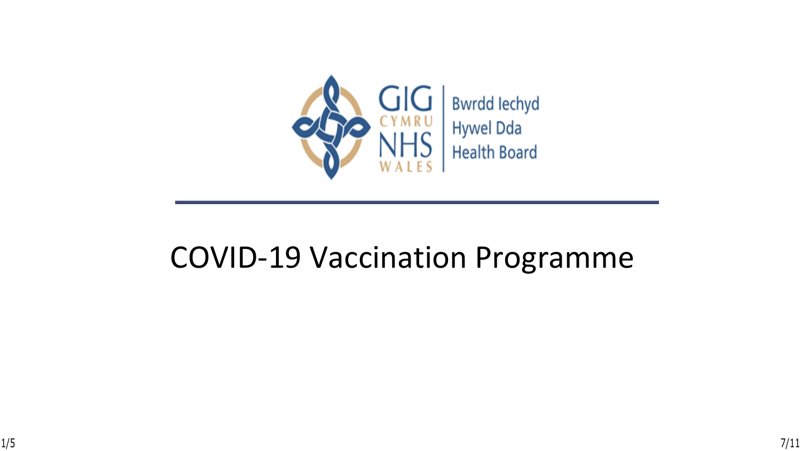

### COVID-19 Vaccination Programme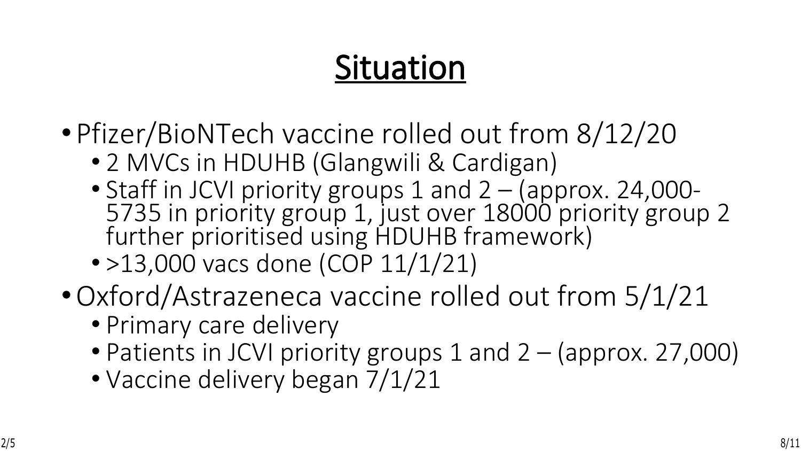## **Situation**

- Pfizer/BioNTech vaccine rolled out from 8/12/20
	- 2 MVCs in HDUHB (Glangwili & Cardigan)
	- Staff in JCVI priority groups 1 and 2 (approx. 24,000- 5735 in priority group 1, just over 18000 priority group 2 further prioritised using HDUHB framework)
	- >13,000 vacs done (COP 11/1/21)
- •Oxford/Astrazeneca vaccine rolled out from 5/1/21
	- Primary care delivery
	- Patients in JCVI priority groups 1 and 2 (approx. 27,000)
	- Vaccine delivery began 7/1/21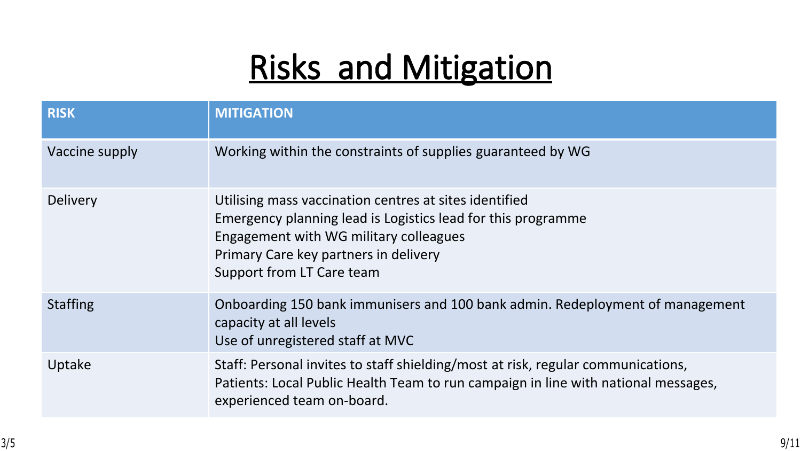## **Risks and Mitigation**

| <b>RISK</b>     | <b>MITIGATION</b>                                                                                                                                                                                                                      |
|-----------------|----------------------------------------------------------------------------------------------------------------------------------------------------------------------------------------------------------------------------------------|
| Vaccine supply  | Working within the constraints of supplies guaranteed by WG                                                                                                                                                                            |
| <b>Delivery</b> | Utilising mass vaccination centres at sites identified<br>Emergency planning lead is Logistics lead for this programme<br>Engagement with WG military colleagues<br>Primary Care key partners in delivery<br>Support from LT Care team |
| <b>Staffing</b> | Onboarding 150 bank immunisers and 100 bank admin. Redeployment of management<br>capacity at all levels<br>Use of unregistered staff at MVC                                                                                            |
| Uptake          | Staff: Personal invites to staff shielding/most at risk, regular communications,<br>Patients: Local Public Health Team to run campaign in line with national messages,<br>experienced team on-board.                                   |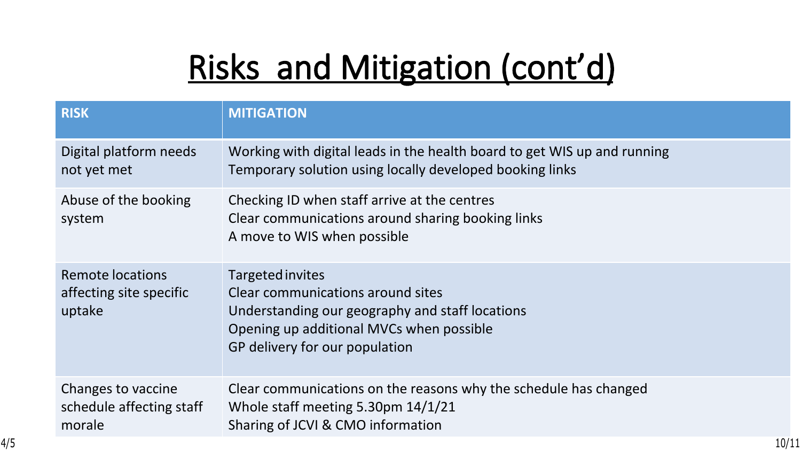# **Risks and Mitigation (cont'd)**

| <b>RISK</b>                                              | <b>MITIGATION</b>                                                                                                                                                                      |
|----------------------------------------------------------|----------------------------------------------------------------------------------------------------------------------------------------------------------------------------------------|
| Digital platform needs<br>not yet met                    | Working with digital leads in the health board to get WIS up and running<br>Temporary solution using locally developed booking links                                                   |
| Abuse of the booking<br>system                           | Checking ID when staff arrive at the centres<br>Clear communications around sharing booking links<br>A move to WIS when possible                                                       |
| Remote locations<br>affecting site specific<br>uptake    | Targeted invites<br>Clear communications around sites<br>Understanding our geography and staff locations<br>Opening up additional MVCs when possible<br>GP delivery for our population |
| Changes to vaccine<br>schedule affecting staff<br>morale | Clear communications on the reasons why the schedule has changed<br>Whole staff meeting 5.30pm 14/1/21<br>Sharing of JCVI & CMO information                                            |